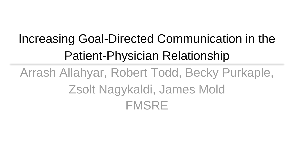# Increasing Goal-Directed Communication in the Patient-Physician Relationship

Arrash Allahyar, Robert Todd, Becky Purkaple, Zsolt Nagykaldi, James Mold FMSRE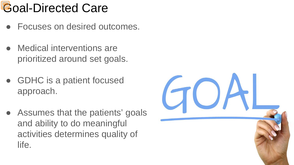# Goal-Directed Care

- Focuses on desired outcomes.
- Medical interventions are prioritized around set goals.
- GDHC is a patient focused approach.
- Assumes that the patients' goals and ability to do meaningful activities determines quality of life.

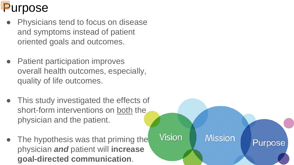# Purpose

- Physicians tend to focus on disease and symptoms instead of patient oriented goals and outcomes.
- **Patient participation improves** overall health outcomes, especially, quality of life outcomes.
- This study investigated the effects of short-form interventions on both the physician and the patient.
- The hypothesis was that priming the physician *and* patient will **increase goal-directed communication**.

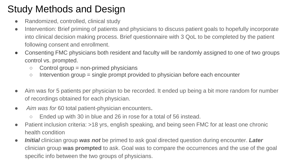#### Study Methods and Design

- Randomized, controlled, clinical study
- Intervention: Brief priming of patients and physicians to discuss patient goals to hopefully incorporate into clinical decision making process. Brief questionnaire with 3 QoL to be completed by the patient following consent and enrollment.
- Consenting FMC physicians both resident and faculty will be randomly assigned to one of two groups control vs. prompted.
	- $\circ$  Control group = non-primed physicians
	- $\circ$  Intervention group = single prompt provided to physician before each encounter
- Aim was for 5 patients per physician to be recorded. It ended up being a bit more random for number of recordings obtained for each physician.
- *Aim was for* 60 total patient-physician encounters.
	- Ended up with 30 in blue and 26 in rose for a total of 56 instead.
- Patient inclusion criteria: >18 yrs, english speaking, and being seen FMC for at least one chronic health condition
- *Initial* clinician group *was not* be primed to ask goal directed question during encounter. *Later*  clinician group **was prompted** to ask. Goal was to compare the occurrences and the use of the goal specific info between the two groups of physicians.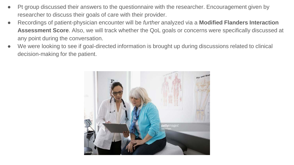- Pt group discussed their answers to the questionnaire with the researcher. Encouragement given by researcher to discuss their goals of care with their provider.
- Recordings of patient-physician encounter will be *further* analyzed via a **Modified Flanders Interaction Assessment Score**. Also, we will track whether the QoL goals or concerns were specifically discussed at any point during the conversation.
- We were looking to see if goal-directed information is brought up during discussions related to clinical decision-making for the patient.

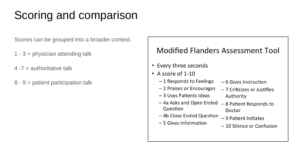# Scoring and comparison

Scores can be grouped into a broader context.

- 1  $3$  = physician attending talk
- $4 7$  = authoritative talk
- 8 9 = patient participation talk

#### Modified Flanders Assessment Tool

- Every three seconds
- $\bullet$  A score of 1-10
	- $-1$  Responds to Feelings
	- -2 Praises or Encourages
	- 3 Uses Patients Ideas
	- $-$  4a Asks and Open Ended  $-$  8 Patient Responds to Question
	- -4b Close Ended Question
	- $-5$  Gives Information
- $-6$  Gives Instruction
- 7 Criticizes or Justifies Authority
- Doctor
- $-9$  Patient Initiates
- 10 Silence or Confusion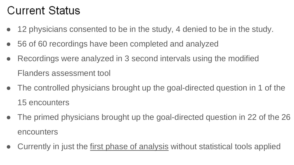#### **Current Status**

- 12 physicians consented to be in the study, 4 denied to be in the study.
- 56 of 60 recordings have been completed and analyzed
- Recordings were analyzed in 3 second intervals using the modified Flanders assessment tool
- The controlled physicians brought up the goal-directed question in 1 of the 15 encounters
- The primed physicians brought up the goal-directed question in 22 of the 26 encounters
- Currently in just the first phase of analysis without statistical tools applied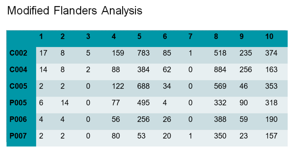#### **Modified Flanders Analysis**

|             | 1              | 2              | 3              | 4   | 5   | 6  |                | 8   | 9   | 10  |
|-------------|----------------|----------------|----------------|-----|-----|----|----------------|-----|-----|-----|
| C002        | 17             | 8              | 5              | 159 | 783 | 85 | 1              | 518 | 235 | 374 |
| C004        | 14             | 8              | 2              | 88  | 384 | 62 | 0              | 884 | 256 | 163 |
| C005        | 2              | $\overline{2}$ | 0              | 122 | 688 | 34 | $\overline{0}$ | 569 | 46  | 353 |
| P005        | 6              | 14             | $\mathbf 0$    | 77  | 495 | 4  | $\mathbf 0$    | 332 | 90  | 318 |
| <b>P006</b> | $\overline{4}$ | 4              | $\overline{0}$ | 56  | 256 | 26 | $\theta$       | 388 | 59  | 190 |
| <b>P007</b> | 2              | 2              | 0              | 80  | 53  | 20 | 1              | 350 | 23  | 157 |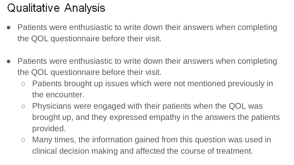## Qualitative Analysis

- Patients were enthusiastic to write down their answers when completing the QOL questionnaire before their visit.
- Patients were enthusiastic to write down their answers when completing the QOL questionnaire before their visit.
	- Patients brought up issues which were not mentioned previously in the encounter.
	- Physicians were engaged with their patients when the QOL was brought up, and they expressed empathy in the answers the patients provided.
	- Many times, the information gained from this question was used in clinical decision making and affected the course of treatment.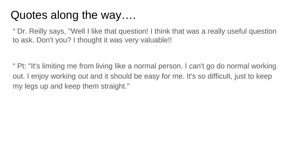### Quotes along the way….

" Dr. Reilly says, "Well I like that question! I think that was a really useful question to ask. Don't you? I thought it was very valuable!!

" Pt: "It's limiting me from living like a normal person. I can't go do normal working out. I enjoy working out and it should be easy for me. It's so difficult, just to keep my legs up and keep them straight."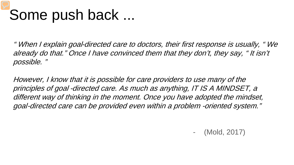# Some push back ...

" When I explain goal-directed care to doctors, their first response is usually, " We already do that." Once I have convinced them that they don't, they say, " It isn't possible. "

However, I know that it is possible for care providers to use many of the principles of goal -directed care. As much as anything, IT IS A MINDSET, a different way of thinking in the moment. Once you have adopted the mindset, goal-directed care can be provided even within a problem -oriented system."

- (Mold, 2017)